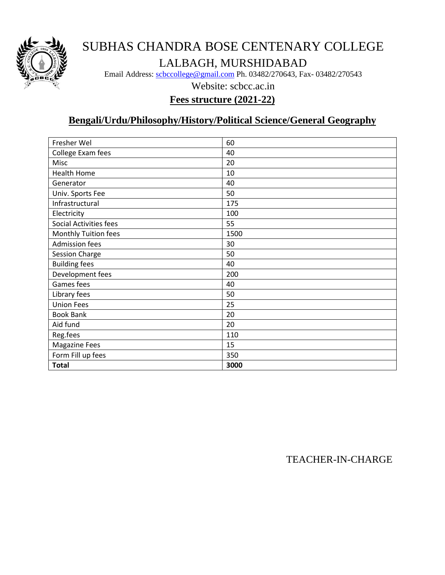

# SUBHAS CHANDRA BOSE CENTENARY COLLEGE LALBAGH, MURSHIDABAD

Email Address: [scbccollege@gmail.com](mailto:scbccollege@gmail.com) Ph. 03482/270643, Fax- 03482/270543

Website: scbcc.ac.in

### **Fees structure (2021-22)**

### **Bengali/Urdu/Philosophy/History/Political Science/General Geography**

| Fresher Wel            | 60   |
|------------------------|------|
| College Exam fees      | 40   |
| Misc                   | 20   |
| <b>Health Home</b>     | 10   |
| Generator              | 40   |
| Univ. Sports Fee       | 50   |
| Infrastructural        | 175  |
| Electricity            | 100  |
| Social Activities fees | 55   |
| Monthly Tuition fees   | 1500 |
| <b>Admission fees</b>  | 30   |
| Session Charge         | 50   |
| <b>Building fees</b>   | 40   |
| Development fees       | 200  |
| Games fees             | 40   |
| Library fees           | 50   |
| <b>Union Fees</b>      | 25   |
| <b>Book Bank</b>       | 20   |
| Aid fund               | 20   |
| Reg.fees               | 110  |
| <b>Magazine Fees</b>   | 15   |
| Form Fill up fees      | 350  |
| <b>Total</b>           | 3000 |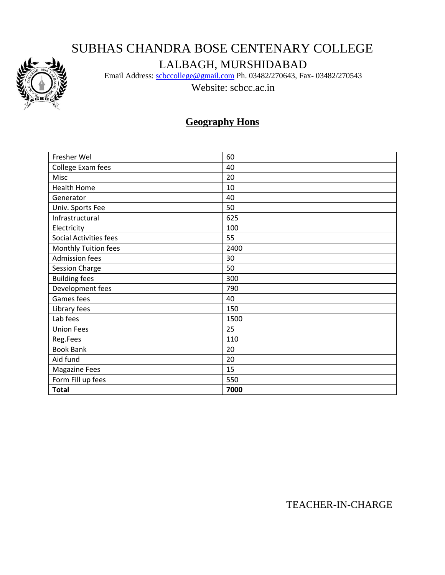# SUBHAS CHANDRA BOSE CENTENARY COLLEGE



## LALBAGH, MURSHIDABAD

Email Address: [scbccollege@gmail.com](mailto:scbccollege@gmail.com) Ph. 03482/270643, Fax- 03482/270543

Website: scbcc.ac.in

## **Geography Hons**

| Fresher Wel            | 60   |
|------------------------|------|
| College Exam fees      | 40   |
| Misc                   | 20   |
| <b>Health Home</b>     | 10   |
| Generator              | 40   |
| Univ. Sports Fee       | 50   |
| Infrastructural        | 625  |
| Electricity            | 100  |
| Social Activities fees | 55   |
| Monthly Tuition fees   | 2400 |
| <b>Admission fees</b>  | 30   |
| <b>Session Charge</b>  | 50   |
| <b>Building fees</b>   | 300  |
| Development fees       | 790  |
| Games fees             | 40   |
| Library fees           | 150  |
| Lab fees               | 1500 |
| <b>Union Fees</b>      | 25   |
| Reg.Fees               | 110  |
| <b>Book Bank</b>       | 20   |
| Aid fund               | 20   |
| <b>Magazine Fees</b>   | 15   |
| Form Fill up fees      | 550  |
| <b>Total</b>           | 7000 |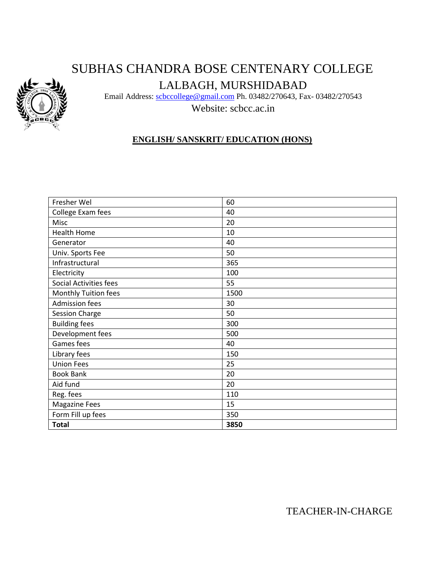# SUBHAS CHANDRA BOSE CENTENARY COLLEGE



LALBAGH, MURSHIDABAD

Email Address: [scbccollege@gmail.com](mailto:scbccollege@gmail.com) Ph. 03482/270643, Fax- 03482/270543

Website: scbcc.ac.in

### **ENGLISH/ SANSKRIT/ EDUCATION (HONS)**

| Fresher Wel                   | 60   |
|-------------------------------|------|
| College Exam fees             | 40   |
| Misc                          | 20   |
| <b>Health Home</b>            | 10   |
| Generator                     | 40   |
| Univ. Sports Fee              | 50   |
| Infrastructural               | 365  |
| Electricity                   | 100  |
| <b>Social Activities fees</b> | 55   |
| Monthly Tuition fees          | 1500 |
| <b>Admission fees</b>         | 30   |
| <b>Session Charge</b>         | 50   |
| <b>Building fees</b>          | 300  |
| Development fees              | 500  |
| Games fees                    | 40   |
| Library fees                  | 150  |
| <b>Union Fees</b>             | 25   |
| <b>Book Bank</b>              | 20   |
| Aid fund                      | 20   |
| Reg. fees                     | 110  |
| <b>Magazine Fees</b>          | 15   |
| Form Fill up fees             | 350  |
| <b>Total</b>                  | 3850 |